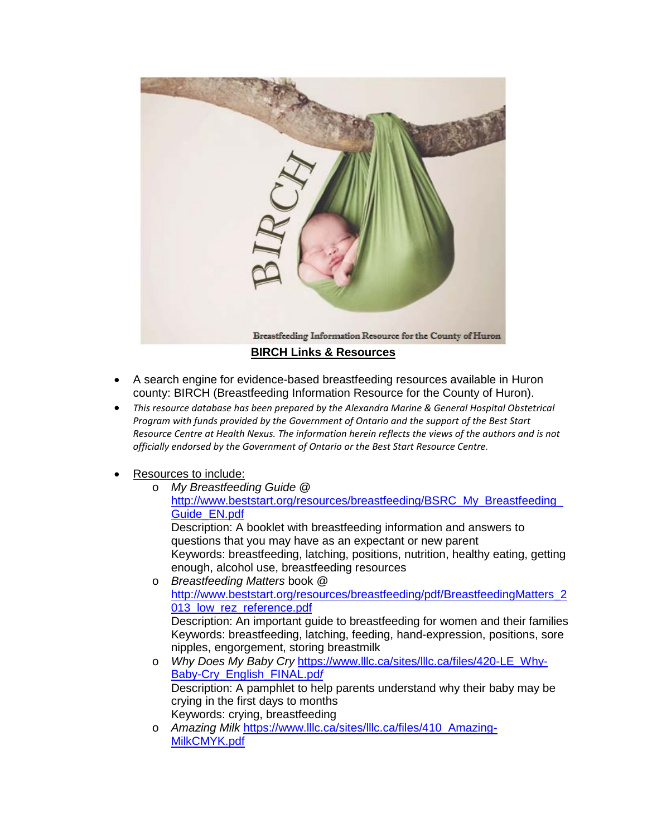

- A search engine for evidence-based breastfeeding resources available in Huron county: BIRCH (Breastfeeding Information Resource for the County of Huron).
- *This resource database has been prepared by the Alexandra Marine & General Hospital Obstetrical Program with funds provided by the Government of Ontario and the support of the Best Start Resource Centre at Health Nexus. The information herein reflects the views of the authors and is not officially endorsed by the Government of Ontario or the Best Start Resource Centre.*
- Resources to include:
	- o *My Breastfeeding Guide* @ [http://www.beststart.org/resources/breastfeeding/BSRC\\_My\\_Breastfeeding\\_](http://www.beststart.org/resources/breastfeeding/BSRC_My_Breastfeeding_Guide_EN.pdf) [Guide\\_EN.pdf](http://www.beststart.org/resources/breastfeeding/BSRC_My_Breastfeeding_Guide_EN.pdf)

Description: A booklet with breastfeeding information and answers to questions that you may have as an expectant or new parent Keywords: breastfeeding, latching, positions, nutrition, healthy eating, getting enough, alcohol use, breastfeeding resources

- o *Breastfeeding Matters* book @ [http://www.beststart.org/resources/breastfeeding/pdf/BreastfeedingMatters\\_2](http://www.beststart.org/resources/breastfeeding/pdf/BreastfeedingMatters_2013_low_rez_reference.pdf) 013 low rez reference.pdf Description: An important guide to breastfeeding for women and their families Keywords: breastfeeding, latching, feeding, hand-expression, positions, sore nipples, engorgement, storing breastmilk o *Why Does My Baby Cry* [https://www.lllc.ca/sites/lllc.ca/files/420-LE\\_Why-](https://www.lllc.ca/sites/lllc.ca/files/420-LE_Why-Baby-Cry_English_FINAL.pdf)[Baby-Cry\\_English\\_FINAL.pd](https://www.lllc.ca/sites/lllc.ca/files/420-LE_Why-Baby-Cry_English_FINAL.pdf)*f* Description: A pamphlet to help parents understand why their baby may be crying in the first days to months Keywords: crying, breastfeeding
- o *Amazing Milk* [https://www.lllc.ca/sites/lllc.ca/files/410\\_Amazing-](https://www.lllc.ca/sites/lllc.ca/files/410_Amazing-MilkCMYK.pdf)[MilkCMYK.pdf](https://www.lllc.ca/sites/lllc.ca/files/410_Amazing-MilkCMYK.pdf)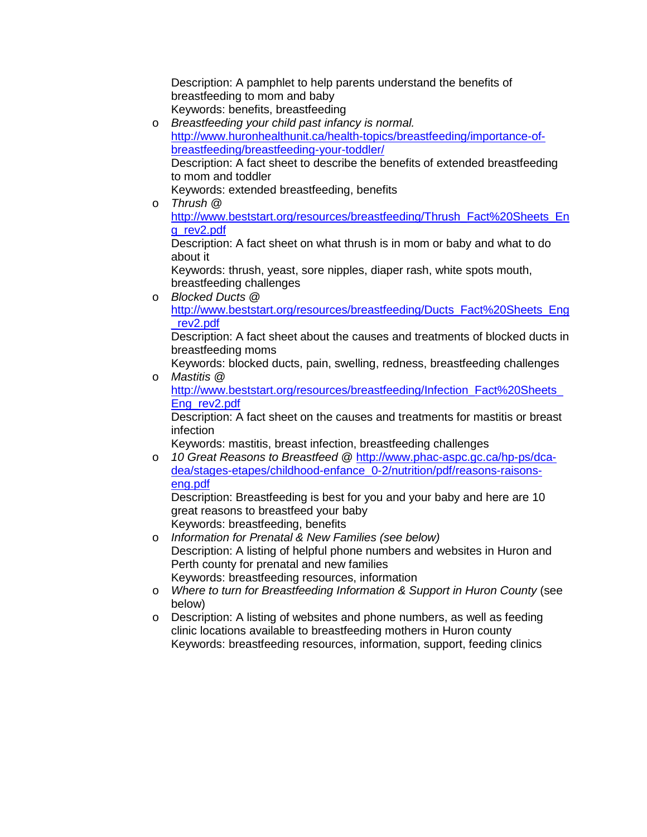Description: A pamphlet to help parents understand the benefits of breastfeeding to mom and baby Keywords: benefits, breastfeeding

- o *Breastfeeding your child past infancy is normal.*  [http://www.huronhealthunit.ca/health-topics/breastfeeding/importance-of](http://www.huronhealthunit.ca/health-topics/breastfeeding/importance-of-breastfeeding/breastfeeding-your-toddler/)[breastfeeding/breastfeeding-your-toddler/](http://www.huronhealthunit.ca/health-topics/breastfeeding/importance-of-breastfeeding/breastfeeding-your-toddler/) Description: A fact sheet to describe the benefits of extended breastfeeding to mom and toddler Keywords: extended breastfeeding, benefits
- o *Thrush* @

[http://www.beststart.org/resources/breastfeeding/Thrush\\_Fact%20Sheets\\_En](http://www.beststart.org/resources/breastfeeding/Thrush_Fact%20Sheets_Eng_rev2.pdf) [g\\_rev2.pdf](http://www.beststart.org/resources/breastfeeding/Thrush_Fact%20Sheets_Eng_rev2.pdf)

Description: A fact sheet on what thrush is in mom or baby and what to do about it

Keywords: thrush, yeast, sore nipples, diaper rash, white spots mouth, breastfeeding challenges

o *Blocked Ducts* @ [http://www.beststart.org/resources/breastfeeding/Ducts\\_Fact%20Sheets\\_Eng](http://www.beststart.org/resources/breastfeeding/Ducts_Fact%20Sheets_Eng_rev2.pdf) [\\_rev2.pdf](http://www.beststart.org/resources/breastfeeding/Ducts_Fact%20Sheets_Eng_rev2.pdf)

Description: A fact sheet about the causes and treatments of blocked ducts in breastfeeding moms

Keywords: blocked ducts, pain, swelling, redness, breastfeeding challenges o *Mastitis* @

http://www.beststart.org/resources/breastfeeding/Infection\_Fact%20Sheets [Eng\\_rev2.pdf](http://www.beststart.org/resources/breastfeeding/Infection_Fact%20Sheets_Eng_rev2.pdf)

Description: A fact sheet on the causes and treatments for mastitis or breast infection

Keywords: mastitis, breast infection, breastfeeding challenges

o *10 Great Reasons to Breastfeed* @ [http://www.phac-aspc.gc.ca/hp-ps/dca](http://www.phac-aspc.gc.ca/hp-ps/dca-dea/stages-etapes/childhood-enfance_0-2/nutrition/pdf/reasons-raisons-eng.pdf)[dea/stages-etapes/childhood-enfance\\_0-2/nutrition/pdf/reasons-raisons](http://www.phac-aspc.gc.ca/hp-ps/dca-dea/stages-etapes/childhood-enfance_0-2/nutrition/pdf/reasons-raisons-eng.pdf)[eng.pdf](http://www.phac-aspc.gc.ca/hp-ps/dca-dea/stages-etapes/childhood-enfance_0-2/nutrition/pdf/reasons-raisons-eng.pdf)

Description: Breastfeeding is best for you and your baby and here are 10 great reasons to breastfeed your baby Keywords: breastfeeding, benefits

- o *Information for Prenatal & New Families (see below)* Description: A listing of helpful phone numbers and websites in Huron and Perth county for prenatal and new families Keywords: breastfeeding resources, information
- o *Where to turn for Breastfeeding Information & Support in Huron County* (see below)
- o Description: A listing of websites and phone numbers, as well as feeding clinic locations available to breastfeeding mothers in Huron county Keywords: breastfeeding resources, information, support, feeding clinics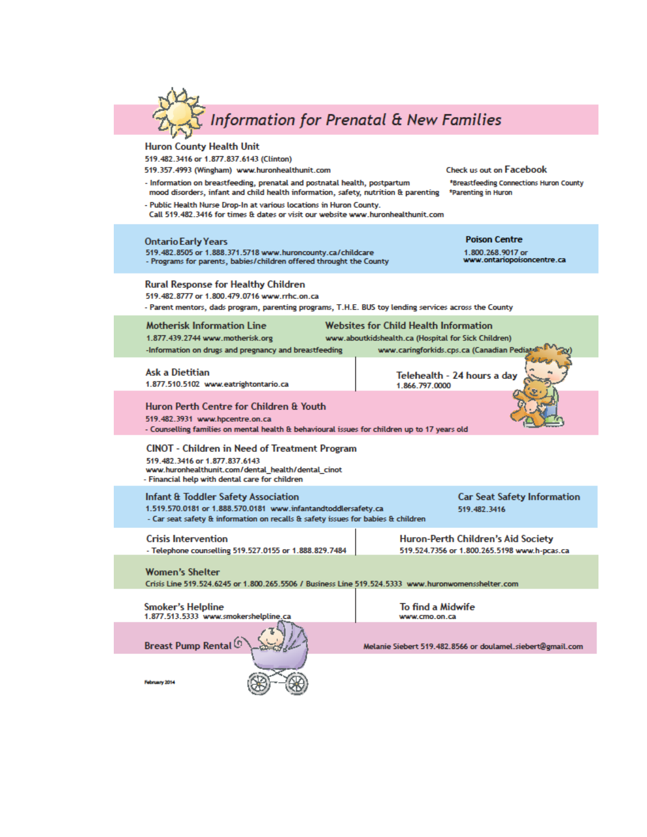

# **Huron County Health Unit**

519.482.3416 or 1.877.837.6143 (Clinton)

- 519.357.4993 (Wingham) www.huronhealthunit.com
- Information on breastfeeding, prenatal and postnatal health, postpartum mood disorders, infant and child health information, safety, nutrition & parenting

Check us out on Facebook

\*Breastfeeding Connections Huron County \*Parenting in Huron

| - Public Health Nurse Drop-In at various locations in Huron County.<br>Call 519.482.3416 for times & dates or visit our website www.huronhealthunit.com                                              |                                                                                                                                                   |  |  |  |  |
|------------------------------------------------------------------------------------------------------------------------------------------------------------------------------------------------------|---------------------------------------------------------------------------------------------------------------------------------------------------|--|--|--|--|
| <b>Ontario Early Years</b><br>519.482.8505 or 1.888.371.5718 www.huroncounty.ca/childcare<br>- Programs for parents, babies/children offered throught the County                                     | <b>Poison Centre</b><br>1.800.268.9017 or<br>www.ontariopoisoncentre.ca                                                                           |  |  |  |  |
| <b>Rural Response for Healthy Children</b><br>519.482.8777 or 1.800.479.0716 www.rrhc.on.ca<br>- Parent mentors, dads program, parenting programs, T.H.E. BUS toy lending services across the County |                                                                                                                                                   |  |  |  |  |
| Motherisk Information Line<br>1.877.439.2744 www.motherisk.org<br>-Information on drugs and pregnancy and breastfeeding                                                                              | <b>Websites for Child Health Information</b><br>www.aboutkidshealth.ca (Hospital for Sick Children)<br>www.caringforkids.cps.ca (Canadian Pediate |  |  |  |  |
| <b>Ask a Dietitian</b><br>1.877.510.5102 www.eatrightontario.ca                                                                                                                                      | Telehealth - 24 hours a day<br>1866 797 0000                                                                                                      |  |  |  |  |
| Huron Perth Centre for Children & Youth<br>519.482.3931 www.hpcentre.on.ca<br>- Counselling families on mental health & behavioural issues for children up to 17 years old                           |                                                                                                                                                   |  |  |  |  |
| CINOT - Children in Need of Treatment Program<br>519.482.3416 or 1.877.837.6143<br>www.huronhealthunit.com/dental_health/dental_cinot<br>- Financial help with dental care for children              |                                                                                                                                                   |  |  |  |  |
| Infant & Toddler Safety Association<br>1.519.570.0181 or 1.888.570.0181 www.infantandtoddlersafety.ca<br>- Car seat safety & information on recalls & safety issues for babies & children            | <b>Car Seat Safety Information</b><br>519.482.3416                                                                                                |  |  |  |  |
| <b>Crisis Intervention</b><br>- Telephone counselling 519.527.0155 or 1.888.829.7484                                                                                                                 | <b>Huron-Perth Children's Aid Society</b><br>519.524.7356 or 1.800.265.5198 www.h-pcas.ca                                                         |  |  |  |  |
| <b>Women's Shelter</b><br>Crisis Line 519.524.6245 or 1.800.265.5506 / Business Line 519.524.5333 www.huronwomensshelter.com                                                                         |                                                                                                                                                   |  |  |  |  |
| <b>Smoker's Helpline</b><br>1.877.513.5333 www.smokershelpline.ca                                                                                                                                    | To find a Midwife<br>www.cmo.on.ca                                                                                                                |  |  |  |  |

**Breast Pump Rental**<sup>(0)</sup>



Melanie Siebert 519.482.8566 or doulamel.siebert@gmail.com

February 2014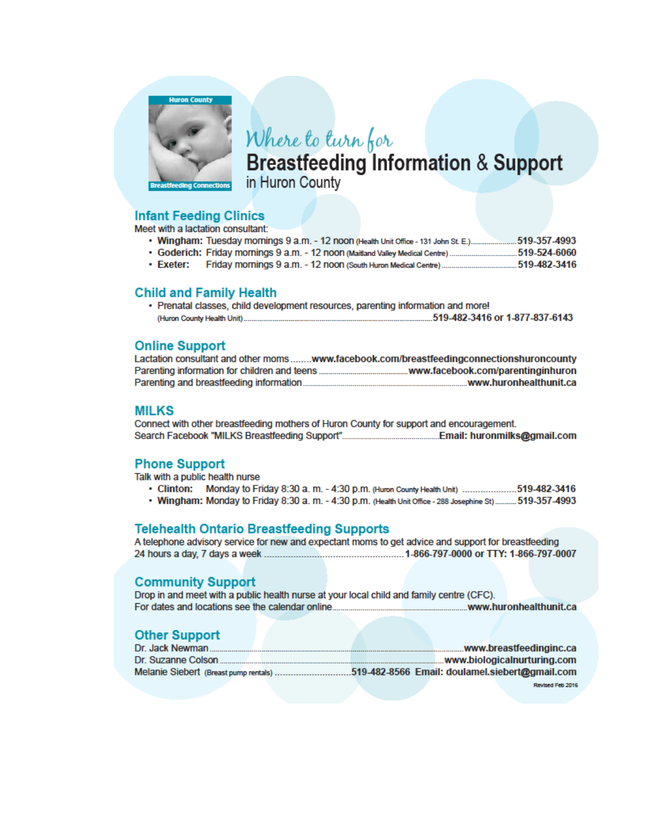

# Where to turn for

**Breastfeeding Information & Support** in Huron County

## **Infant Feeding Clinics**

Meet with a lactation consultant:

- Wingham: Tuesday mornings 9 a.m. 12 noon (Health Unit Office 131 John St. E.)......................519-357-4993
- . Goderich: Friday mornings 9 a.m. 12 noon (Maitland Valley Medical Centre)................................519-524-6060
- $\cdot$  Exeter:

### **Child and Family Health**

• Prenatal classes, child development resources, parenting information and more! 

#### **Online Support**

|                                              | Lactation consultant and other momswww.facebook.com/breastfeedingconnectionshuroncounty |
|----------------------------------------------|-----------------------------------------------------------------------------------------|
| Parenting information for children and teens | .www.facebook.com/parentinginhuron                                                      |
| Parenting and breastfeeding information      | .www.huronhealthunit.ca                                                                 |

#### **MILKS**

Connect with other breastfeeding mothers of Huron County for support and encouragement. 

### **Phone Support**

Talk with a public health nurse

- Clinton: Monday to Friday 8:30 a. m. 4:30 p.m. (Huron County Health Unit) .....................519-482-3416
- . Wingham: Monday to Friday 8:30 a. m. 4:30 p.m. (Health Unit Office 288 Josephine St)........... 519-357-4993

### **Telehealth Ontario Breastfeeding Supports**

A telephone advisory service for new and expectant moms to get advice and support for breastfeeding 

### **Community Support**

Drop in and meet with a public health nurse at your local child and family centre (CFC). 

### **Other Support**

| Dr. Jack Newman                       |  |  | www.breastfeedinginc.ca                        |
|---------------------------------------|--|--|------------------------------------------------|
| Dr. Suzanne Colson                    |  |  | www.biologicalnurturing.com                    |
| Melanie Siebert (Breast pump rentals) |  |  | 519-482-8566 Email: doulamel.siebert@gmail.com |
|                                       |  |  | Revised Feb 2016                               |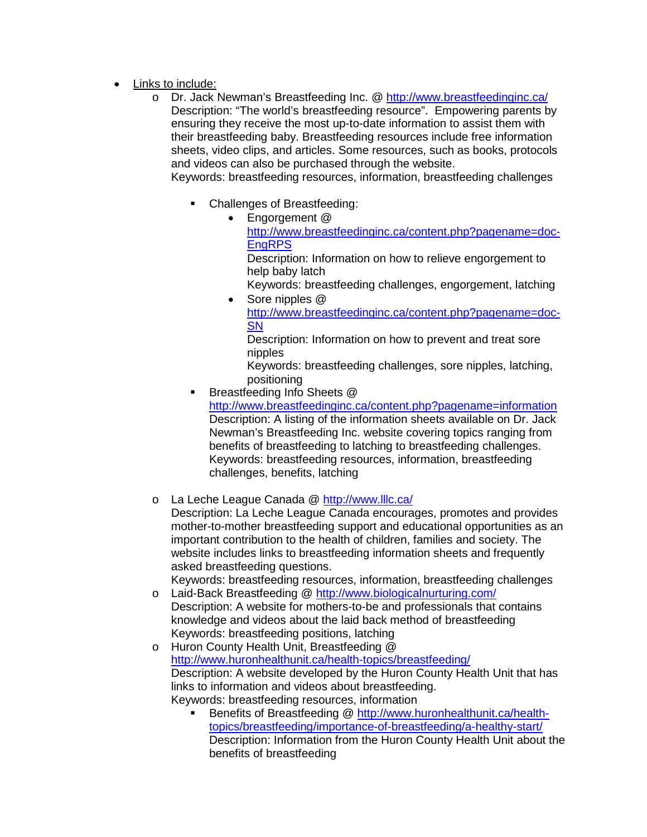- Links to include:
	- Dr. Jack Newman's Breastfeeding Inc. @<http://www.breastfeedinginc.ca/> Description: "The world's breastfeeding resource". Empowering parents by ensuring they receive the most up-to-date information to assist them with their breastfeeding baby. Breastfeeding resources include free information sheets, video clips, and articles. Some resources, such as books, protocols and videos can also be purchased through the website.

Keywords: breastfeeding resources, information, breastfeeding challenges

- Challenges of Breastfeeding:
	- Engorgement @ [http://www.breastfeedinginc.ca/content.php?pagename=doc-](http://www.breastfeedinginc.ca/content.php?pagename=doc-EngRPS)[EngRPS](http://www.breastfeedinginc.ca/content.php?pagename=doc-EngRPS)

Description: Information on how to relieve engorgement to help baby latch

Keywords: breastfeeding challenges, engorgement, latching • Sore nipples @

[http://www.breastfeedinginc.ca/content.php?pagename=doc-](http://www.breastfeedinginc.ca/content.php?pagename=doc-SN)**[SN](http://www.breastfeedinginc.ca/content.php?pagename=doc-SN)** 

Description: Information on how to prevent and treat sore nipples

Keywords: breastfeeding challenges, sore nipples, latching, positioning

Breastfeeding Info Sheets @

<http://www.breastfeedinginc.ca/content.php?pagename=information> Description: A listing of the information sheets available on Dr. Jack Newman's Breastfeeding Inc. website covering topics ranging from benefits of breastfeeding to latching to breastfeeding challenges. Keywords: breastfeeding resources, information, breastfeeding challenges, benefits, latching

# o La Leche League Canada @<http://www.lllc.ca/>

Description: La Leche League Canada encourages, promotes and provides mother-to-mother breastfeeding support and educational opportunities as an important contribution to the health of children, families and society. The website includes links to breastfeeding information sheets and frequently asked breastfeeding questions.

Keywords: breastfeeding resources, information, breastfeeding challenges o Laid-Back Breastfeeding @<http://www.biologicalnurturing.com/>

- Description: A website for mothers-to-be and professionals that contains knowledge and videos about the laid back method of breastfeeding Keywords: breastfeeding positions, latching
- o Huron County Health Unit, Breastfeeding @ <http://www.huronhealthunit.ca/health-topics/breastfeeding/> Description: A website developed by the Huron County Health Unit that has links to information and videos about breastfeeding. Keywords: breastfeeding resources, information
	- Benefits of Breastfeeding @ [http://www.huronhealthunit.ca/health](http://www.huronhealthunit.ca/health-topics/breastfeeding/importance-of-breastfeeding/a-healthy-start/)[topics/breastfeeding/importance-of-breastfeeding/a-healthy-start/](http://www.huronhealthunit.ca/health-topics/breastfeeding/importance-of-breastfeeding/a-healthy-start/) Description: Information from the Huron County Health Unit about the benefits of breastfeeding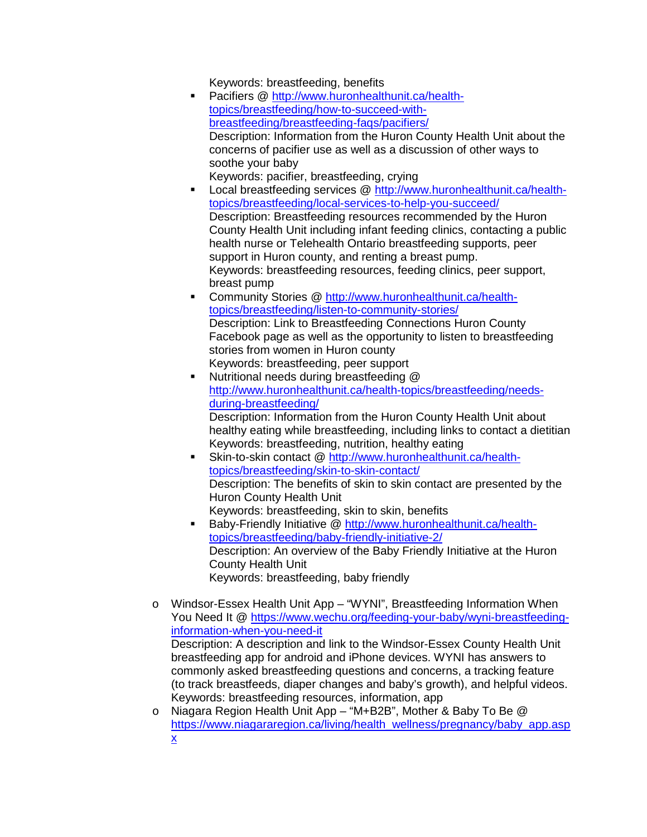Keywords: breastfeeding, benefits

- **Pacifiers @ [http://www.huronhealthunit.ca/health](http://www.huronhealthunit.ca/health-topics/breastfeeding/how-to-succeed-with-breastfeeding/breastfeeding-faqs/pacifiers/)**[topics/breastfeeding/how-to-succeed-with](http://www.huronhealthunit.ca/health-topics/breastfeeding/how-to-succeed-with-breastfeeding/breastfeeding-faqs/pacifiers/)[breastfeeding/breastfeeding-faqs/pacifiers/](http://www.huronhealthunit.ca/health-topics/breastfeeding/how-to-succeed-with-breastfeeding/breastfeeding-faqs/pacifiers/) Description: Information from the Huron County Health Unit about the concerns of pacifier use as well as a discussion of other ways to soothe your baby Keywords: pacifier, breastfeeding, crying
- Local breastfeeding services @ [http://www.huronhealthunit.ca/health](http://www.huronhealthunit.ca/health-topics/breastfeeding/local-services-to-help-you-succeed/)[topics/breastfeeding/local-services-to-help-you-succeed/](http://www.huronhealthunit.ca/health-topics/breastfeeding/local-services-to-help-you-succeed/) Description: Breastfeeding resources recommended by the Huron County Health Unit including infant feeding clinics, contacting a public health nurse or Telehealth Ontario breastfeeding supports, peer support in Huron county, and renting a breast pump. Keywords: breastfeeding resources, feeding clinics, peer support, breast pump
- Community Stories @ [http://www.huronhealthunit.ca/health](http://www.huronhealthunit.ca/health-topics/breastfeeding/listen-to-community-stories/)[topics/breastfeeding/listen-to-community-stories/](http://www.huronhealthunit.ca/health-topics/breastfeeding/listen-to-community-stories/) Description: Link to Breastfeeding Connections Huron County Facebook page as well as the opportunity to listen to breastfeeding stories from women in Huron county Keywords: breastfeeding, peer support
- Nutritional needs during breastfeeding @ [http://www.huronhealthunit.ca/health-topics/breastfeeding/needs](http://www.huronhealthunit.ca/health-topics/breastfeeding/needs-during-breastfeeding/)[during-breastfeeding/](http://www.huronhealthunit.ca/health-topics/breastfeeding/needs-during-breastfeeding/) Description: Information from the Huron County Health Unit about healthy eating while breastfeeding, including links to contact a dietitian Keywords: breastfeeding, nutrition, healthy eating
- Skin-to-skin contact @ [http://www.huronhealthunit.ca/health](http://www.huronhealthunit.ca/health-topics/breastfeeding/skin-to-skin-contact/)[topics/breastfeeding/skin-to-skin-contact/](http://www.huronhealthunit.ca/health-topics/breastfeeding/skin-to-skin-contact/) Description: The benefits of skin to skin contact are presented by the Huron County Health Unit Keywords: breastfeeding, skin to skin, benefits
- Baby-Friendly Initiative @ [http://www.huronhealthunit.ca/health](http://www.huronhealthunit.ca/health-topics/breastfeeding/baby-friendly-initiative-2/)[topics/breastfeeding/baby-friendly-initiative-2/](http://www.huronhealthunit.ca/health-topics/breastfeeding/baby-friendly-initiative-2/) Description: An overview of the Baby Friendly Initiative at the Huron County Health Unit Keywords: breastfeeding, baby friendly
- o Windsor-Essex Health Unit App "WYNI", Breastfeeding Information When You Need It @ [https://www.wechu.org/feeding-your-baby/wyni-breastfeeding](https://www.wechu.org/feeding-your-baby/wyni-breastfeeding-information-when-you-need-it)[information-when-you-need-it](https://www.wechu.org/feeding-your-baby/wyni-breastfeeding-information-when-you-need-it) Description: A description and link to the Windsor-Essex County Health Unit breastfeeding app for android and iPhone devices. WYNI has answers to commonly asked breastfeeding questions and concerns, a tracking feature (to track breastfeeds, diaper changes and baby's growth), and helpful videos. Keywords: breastfeeding resources, information, app
- Niagara Region Health Unit App "M+B2B", Mother & Baby To Be @ [https://www.niagararegion.ca/living/health\\_wellness/pregnancy/baby\\_app.asp](https://www.niagararegion.ca/living/health_wellness/pregnancy/baby_app.aspx) [x](https://www.niagararegion.ca/living/health_wellness/pregnancy/baby_app.aspx)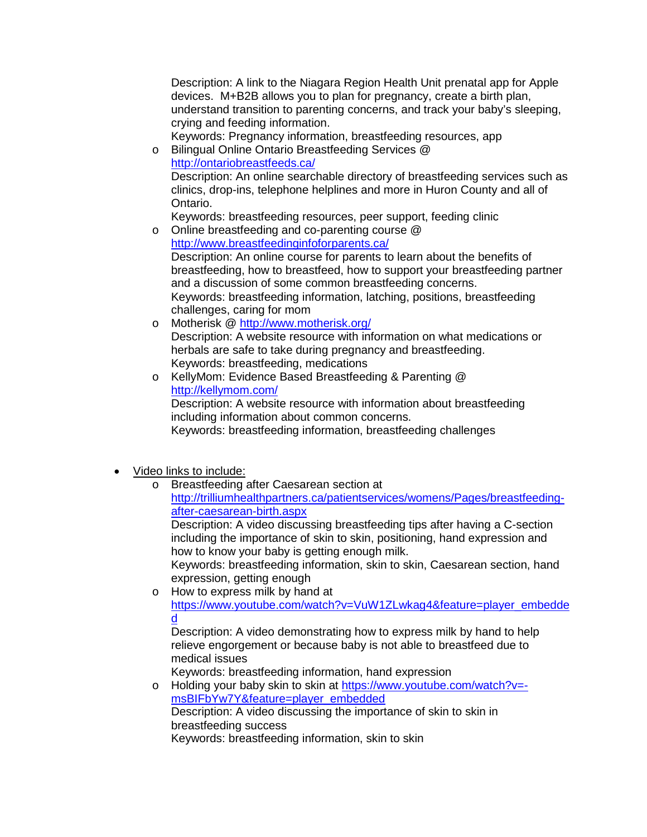Description: A link to the Niagara Region Health Unit prenatal app for Apple devices. M+B2B allows you to plan for pregnancy, create a birth plan, understand transition to parenting concerns, and track your baby's sleeping, crying and feeding information.

Keywords: Pregnancy information, breastfeeding resources, app o Bilingual Online Ontario Breastfeeding Services @

<http://ontariobreastfeeds.ca/> Description: An online searchable directory of breastfeeding services such as clinics, drop-ins, telephone helplines and more in Huron County and all of Ontario.

Keywords: breastfeeding resources, peer support, feeding clinic

- o Online breastfeeding and co-parenting course @ <http://www.breastfeedinginfoforparents.ca/> Description: An online course for parents to learn about the benefits of breastfeeding, how to breastfeed, how to support your breastfeeding partner and a discussion of some common breastfeeding concerns. Keywords: breastfeeding information, latching, positions, breastfeeding challenges, caring for mom
- o Motherisk @<http://www.motherisk.org/> Description: A website resource with information on what medications or herbals are safe to take during pregnancy and breastfeeding. Keywords: breastfeeding, medications
- o KellyMom: Evidence Based Breastfeeding & Parenting @ <http://kellymom.com/> Description: A website resource with information about breastfeeding including information about common concerns.

Keywords: breastfeeding information, breastfeeding challenges

- Video links to include:
	- o Breastfeeding after Caesarean section at [http://trilliumhealthpartners.ca/patientservices/womens/Pages/breastfeeding](http://trilliumhealthpartners.ca/patientservices/womens/Pages/breastfeeding-after-caesarean-birth.aspx)[after-caesarean-birth.aspx](http://trilliumhealthpartners.ca/patientservices/womens/Pages/breastfeeding-after-caesarean-birth.aspx)

Description: A video discussing breastfeeding tips after having a C-section including the importance of skin to skin, positioning, hand expression and how to know your baby is getting enough milk.

Keywords: breastfeeding information, skin to skin, Caesarean section, hand expression, getting enough

o How to express milk by hand at [https://www.youtube.com/watch?v=VuW1ZLwkag4&feature=player\\_embedde](https://www.youtube.com/watch?v=VuW1ZLwkag4&feature=player_embedded) [d](https://www.youtube.com/watch?v=VuW1ZLwkag4&feature=player_embedded)

Description: A video demonstrating how to express milk by hand to help relieve engorgement or because baby is not able to breastfeed due to medical issues

Keywords: breastfeeding information, hand expression

o Holding your baby skin to skin at [https://www.youtube.com/watch?v=](https://www.youtube.com/watch?v=-msBIFbYw7Y&feature=player_embedded) [msBIFbYw7Y&feature=player\\_embedded](https://www.youtube.com/watch?v=-msBIFbYw7Y&feature=player_embedded) Description: A video discussing the importance of skin to skin in breastfeeding success Keywords: breastfeeding information, skin to skin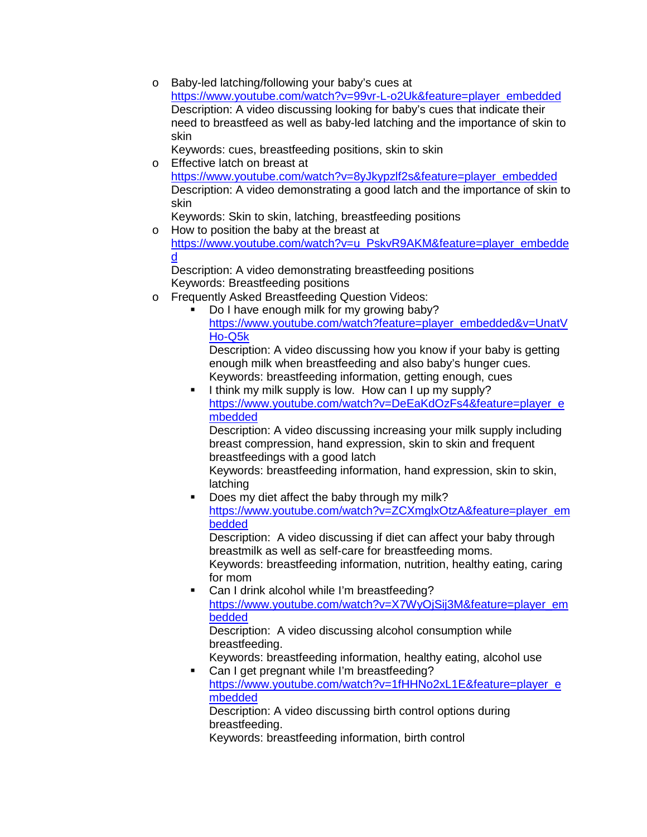o Baby-led latching/following your baby's cues at [https://www.youtube.com/watch?v=99vr-L-o2Uk&feature=player\\_embedded](https://www.youtube.com/watch?v=99vr-L-o2Uk&feature=player_embedded) Description: A video discussing looking for baby's cues that indicate their need to breastfeed as well as baby-led latching and the importance of skin to skin

Keywords: cues, breastfeeding positions, skin to skin

o Effective latch on breast at [https://www.youtube.com/watch?v=8yJkypzlf2s&feature=player\\_embedded](https://www.youtube.com/watch?v=8yJkypzlf2s&feature=player_embedded) Description: A video demonstrating a good latch and the importance of skin to skin

Keywords: Skin to skin, latching, breastfeeding positions

o How to position the baby at the breast at [https://www.youtube.com/watch?v=u\\_PskvR9AKM&feature=player\\_embedde](https://www.youtube.com/watch?v=u_PskvR9AKM&feature=player_embedded) [d](https://www.youtube.com/watch?v=u_PskvR9AKM&feature=player_embedded)

Description: A video demonstrating breastfeeding positions Keywords: Breastfeeding positions

- o Frequently Asked Breastfeeding Question Videos:
	- Do I have enough milk for my growing baby? [https://www.youtube.com/watch?feature=player\\_embedded&v=UnatV](https://www.youtube.com/watch?feature=player_embedded&v=UnatVHo-Q5k) [Ho-Q5k](https://www.youtube.com/watch?feature=player_embedded&v=UnatVHo-Q5k)

Description: A video discussing how you know if your baby is getting enough milk when breastfeeding and also baby's hunger cues. Keywords: breastfeeding information, getting enough, cues

 I think my milk supply is low. How can I up my supply? [https://www.youtube.com/watch?v=DeEaKdOzFs4&feature=player\\_e](https://www.youtube.com/watch?v=DeEaKdOzFs4&feature=player_embedded) [mbedded](https://www.youtube.com/watch?v=DeEaKdOzFs4&feature=player_embedded)

Description: A video discussing increasing your milk supply including breast compression, hand expression, skin to skin and frequent breastfeedings with a good latch

Keywords: breastfeeding information, hand expression, skin to skin, latching

 Does my diet affect the baby through my milk? [https://www.youtube.com/watch?v=ZCXmglxOtzA&feature=player\\_em](https://www.youtube.com/watch?v=ZCXmglxOtzA&feature=player_embedded) [bedded](https://www.youtube.com/watch?v=ZCXmglxOtzA&feature=player_embedded)

Description: A video discussing if diet can affect your baby through breastmilk as well as self-care for breastfeeding moms. Keywords: breastfeeding information, nutrition, healthy eating, caring for mom

 Can I drink alcohol while I'm breastfeeding? [https://www.youtube.com/watch?v=X7WyOjSij3M&feature=player\\_em](https://www.youtube.com/watch?v=X7WyOjSij3M&feature=player_embedded) [bedded](https://www.youtube.com/watch?v=X7WyOjSij3M&feature=player_embedded)

Description: A video discussing alcohol consumption while breastfeeding.

Keywords: breastfeeding information, healthy eating, alcohol use

 Can I get pregnant while I'm breastfeeding? [https://www.youtube.com/watch?v=1fHHNo2xL1E&feature=player\\_e](https://www.youtube.com/watch?v=1fHHNo2xL1E&feature=player_embedded) [mbedded](https://www.youtube.com/watch?v=1fHHNo2xL1E&feature=player_embedded)

Description: A video discussing birth control options during breastfeeding.

Keywords: breastfeeding information, birth control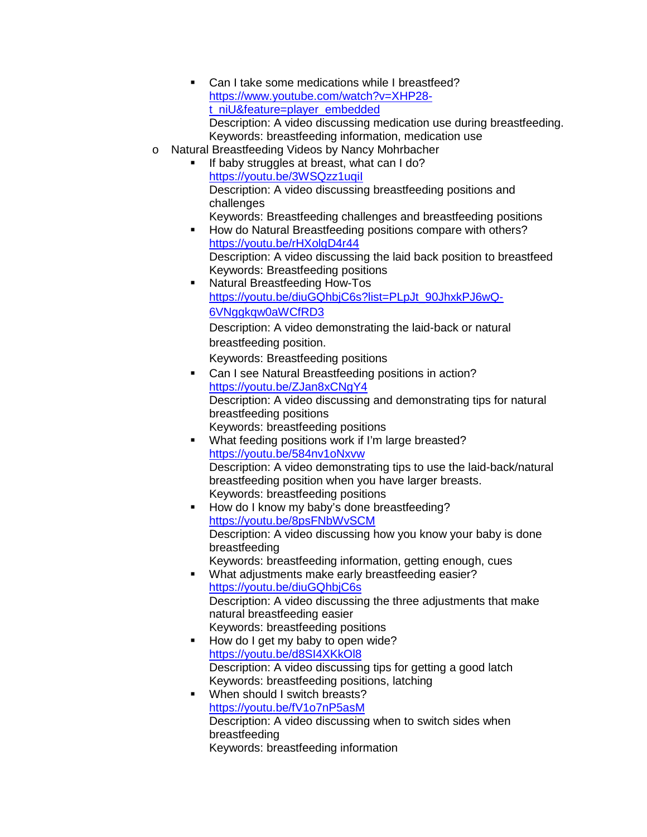- Can I take some medications while I breastfeed? [https://www.youtube.com/watch?v=XHP28](https://www.youtube.com/watch?v=XHP28-t_niU&feature=player_embedded) [t\\_niU&feature=player\\_embedded](https://www.youtube.com/watch?v=XHP28-t_niU&feature=player_embedded) Description: A video discussing medication use during breastfeeding. Keywords: breastfeeding information, medication use
- o Natural Breastfeeding Videos by Nancy Mohrbacher
	- If baby struggles at breast, what can I do? <https://youtu.be/3WSQzz1uqiI> Description: A video discussing breastfeeding positions and challenges Keywords: Breastfeeding challenges and breastfeeding positions
	- **How do Natural Breastfeeding positions compare with others?** <https://youtu.be/rHXolgD4r44> Description: A video discussing the laid back position to breastfeed Keywords: Breastfeeding positions
	- **Natural Breastfeeding How-Tos** [https://youtu.be/diuGQhbjC6s?list=PLpJt\\_90JhxkPJ6wQ-](https://youtu.be/diuGQhbjC6s?list=PLpJt_90JhxkPJ6wQ-6VNggkqw0aWCfRD3)[6VNggkqw0aWCfRD3](https://youtu.be/diuGQhbjC6s?list=PLpJt_90JhxkPJ6wQ-6VNggkqw0aWCfRD3) Description: A video demonstrating the laid-back or natural breastfeeding position.

Keywords: Breastfeeding positions

- Can I see Natural Breastfeeding positions in action? <https://youtu.be/ZJan8xCNgY4> Description: A video discussing and demonstrating tips for natural breastfeeding positions Keywords: breastfeeding positions
- **What feeding positions work if I'm large breasted?** <https://youtu.be/584nv1oNxvw> Description: A video demonstrating tips to use the laid-back/natural breastfeeding position when you have larger breasts. Keywords: breastfeeding positions
- How do I know my baby's done breastfeeding? <https://youtu.be/8psFNbWvSCM> Description: A video discussing how you know your baby is done breastfeeding Keywords: breastfeeding information, getting enough, cues
- What adjustments make early breastfeeding easier? <https://youtu.be/diuGQhbjC6s> Description: A video discussing the three adjustments that make natural breastfeeding easier Keywords: breastfeeding positions
- How do I get my baby to open wide? <https://youtu.be/d8SI4XKkOl8> Description: A video discussing tips for getting a good latch Keywords: breastfeeding positions, latching
- **When should I switch breasts?** <https://youtu.be/fV1o7nP5asM> Description: A video discussing when to switch sides when breastfeeding Keywords: breastfeeding information